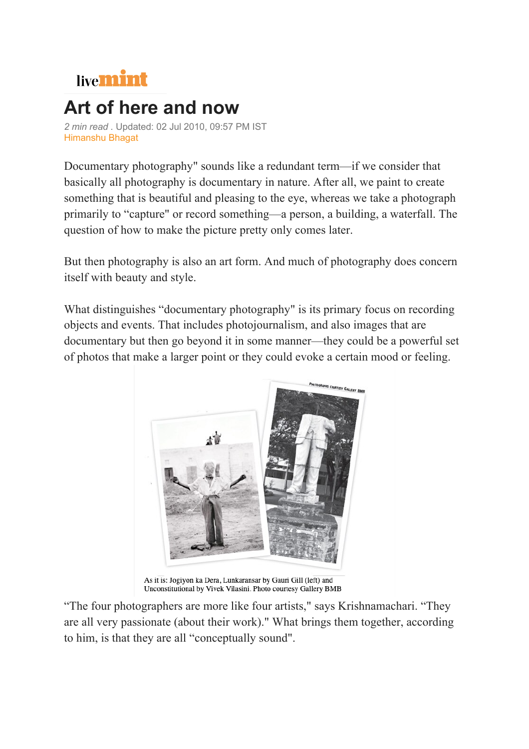

## **Art of here and now**

*2 min read .* Updated: 02 Jul 2010, 09:57 PM IST Himanshu Bhagat

Documentary photography" sounds like a redundant term—if we consider that basically all photography is documentary in nature. After all, we paint to create something that is beautiful and pleasing to the eye, whereas we take a photograph primarily to "capture" or record something—a person, a building, a waterfall. The question of how to make the picture pretty only comes later.

But then photography is also an art form. And much of photography does concern itself with beauty and style.

What distinguishes "documentary photography" is its primary focus on recording objects and events. That includes photojournalism, and also images that are documentary but then go beyond it in some manner—they could be a powerful set of photos that make a larger point or they could evoke a certain mood or feeling.



As it is: Jogiyon ka Dera, Lunkaransar by Gauri Gill (left) and Unconstitutional by Vivek Vilasini. Photo courtesy Gallery BMB

"The four photographers are more like four artists," says Krishnamachari. "They are all very passionate (about their work)." What brings them together, according to him, is that they are all "conceptually sound".